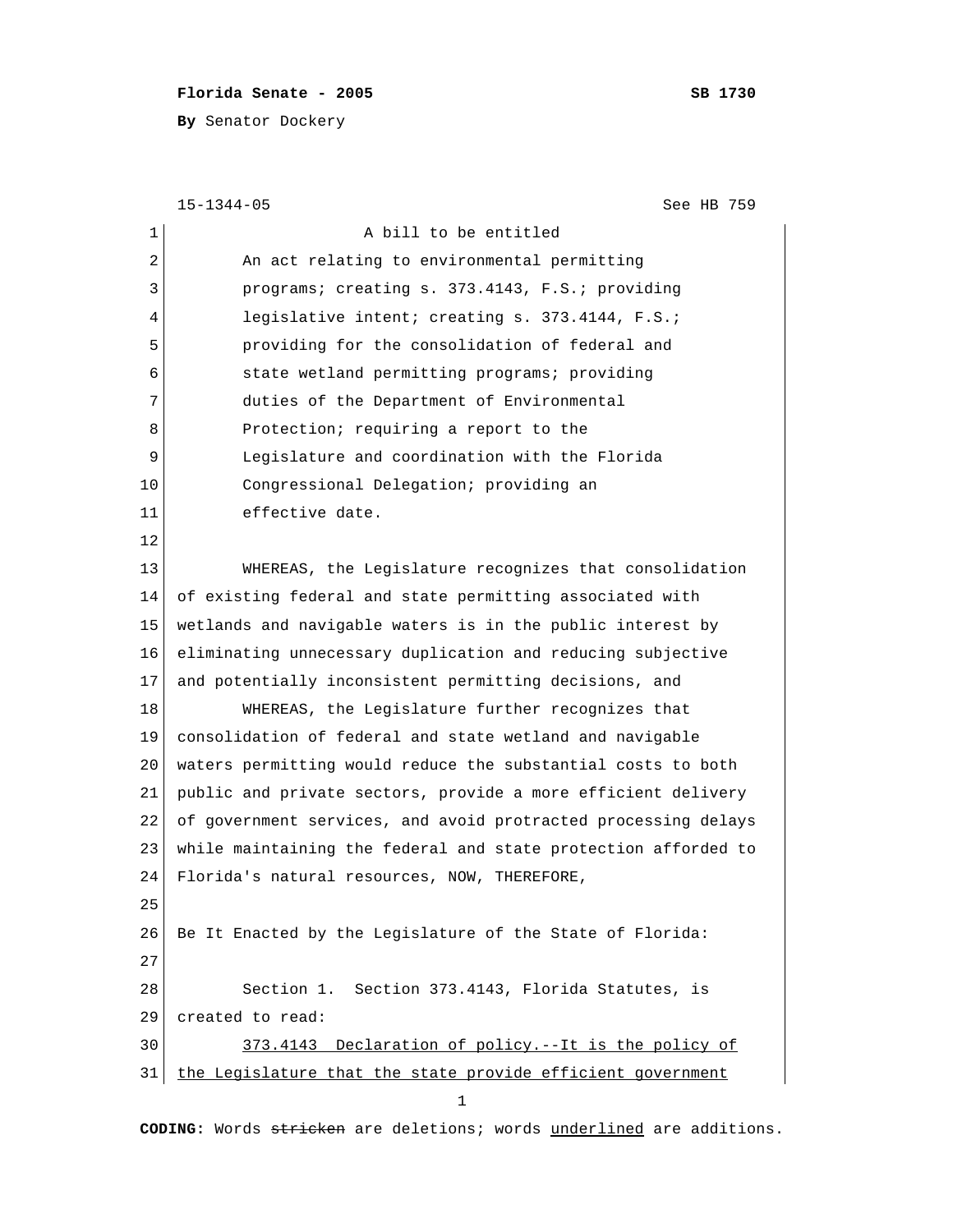## **Florida Senate - 2005 SB 1730**

**By** Senator Dockery

```
 15-1344-05 See HB 759
1 a bill to be entitled
2 An act relating to environmental permitting
 3 programs; creating s. 373.4143, F.S.; providing
4 legislative intent; creating s. 373.4144, F.S.;
 5 providing for the consolidation of federal and
 6 state wetland permitting programs; providing
7 duties of the Department of Environmental
8 Protection; requiring a report to the
 9 Legislature and coordination with the Florida
10 Congressional Delegation; providing an
11 effective date.
12 
13 WHEREAS, the Legislature recognizes that consolidation
14 of existing federal and state permitting associated with
15 wetlands and navigable waters is in the public interest by
16 eliminating unnecessary duplication and reducing subjective
17 and potentially inconsistent permitting decisions, and
18 WHEREAS, the Legislature further recognizes that
19 consolidation of federal and state wetland and navigable
20 waters permitting would reduce the substantial costs to both
21 public and private sectors, provide a more efficient delivery
22 of government services, and avoid protracted processing delays
23 while maintaining the federal and state protection afforded to
24 Florida's natural resources, NOW, THEREFORE,
25 
26 Be It Enacted by the Legislature of the State of Florida:
27 
28 Section 1. Section 373.4143, Florida Statutes, is
29 created to read:
30 373.4143 Declaration of policy.--It is the policy of
31 the Legislature that the state provide efficient government
 1
```
**CODING:** Words stricken are deletions; words underlined are additions.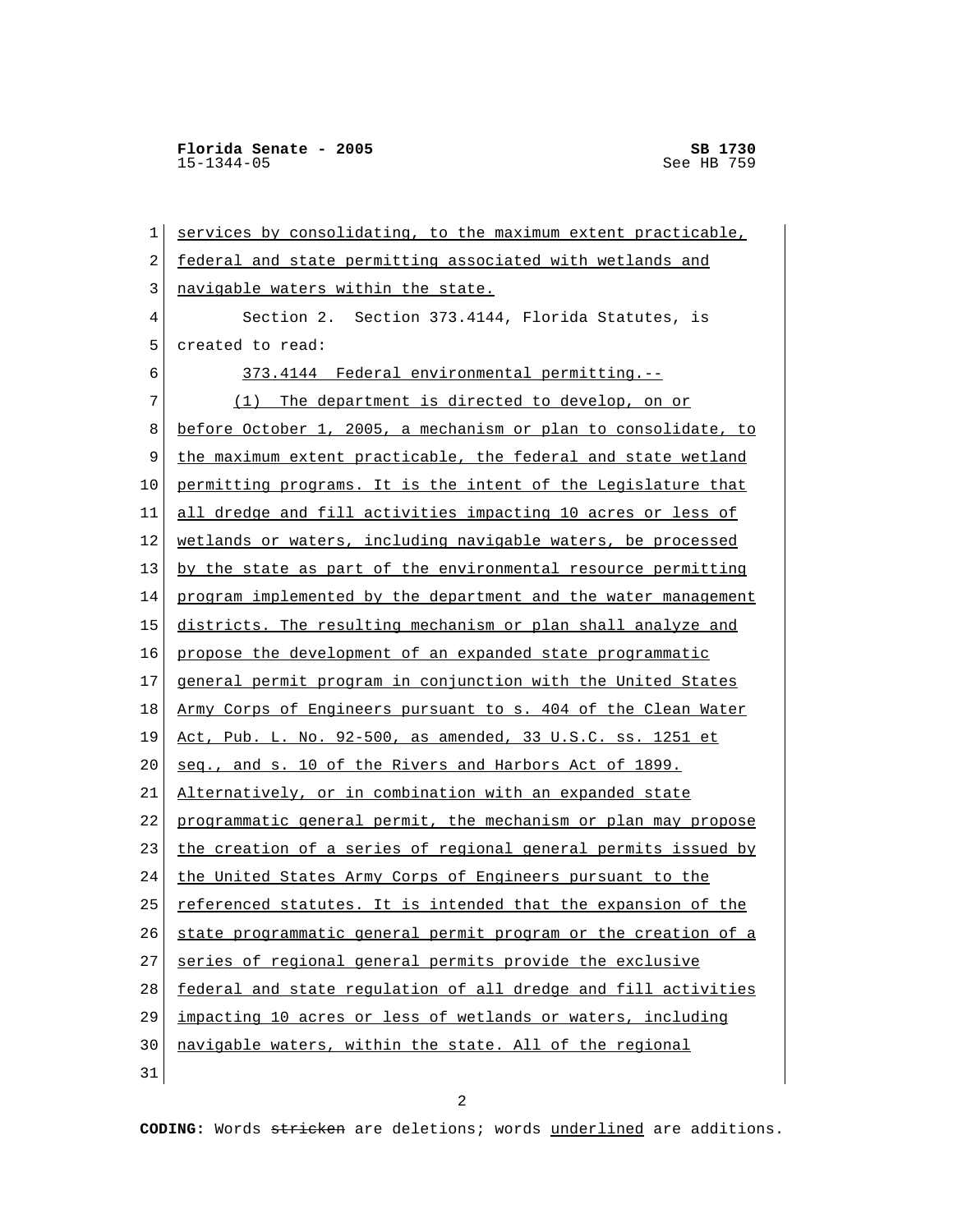**Florida Senate - 2005** SB 1730<br>15-1344-05 See HB 759  $15 - 1344 - 05$ 

 1 services by consolidating, to the maximum extent practicable, 2 federal and state permitting associated with wetlands and 3 navigable waters within the state. 4 Section 2. Section 373.4144, Florida Statutes, is 5 created to read: 6 373.4144 Federal environmental permitting.-- 7 (1) The department is directed to develop, on or 8 before October 1, 2005, a mechanism or plan to consolidate, to 9 the maximum extent practicable, the federal and state wetland 10 permitting programs. It is the intent of the Legislature that 11 all dredge and fill activities impacting 10 acres or less of 12 wetlands or waters, including navigable waters, be processed 13 by the state as part of the environmental resource permitting 14 program implemented by the department and the water management 15 districts. The resulting mechanism or plan shall analyze and 16 propose the development of an expanded state programmatic 17 general permit program in conjunction with the United States 18 Army Corps of Engineers pursuant to s. 404 of the Clean Water 19 Act, Pub. L. No. 92-500, as amended, 33 U.S.C. ss. 1251 et 20 seq., and s. 10 of the Rivers and Harbors Act of 1899. 21 Alternatively, or in combination with an expanded state 22 programmatic general permit, the mechanism or plan may propose 23 the creation of a series of regional general permits issued by 24 the United States Army Corps of Engineers pursuant to the 25 referenced statutes. It is intended that the expansion of the 26 state programmatic general permit program or the creation of a 27 series of regional general permits provide the exclusive 28 federal and state regulation of all dredge and fill activities 29 impacting 10 acres or less of wetlands or waters, including 30 navigable waters, within the state. All of the regional 31

2

**CODING:** Words stricken are deletions; words underlined are additions.